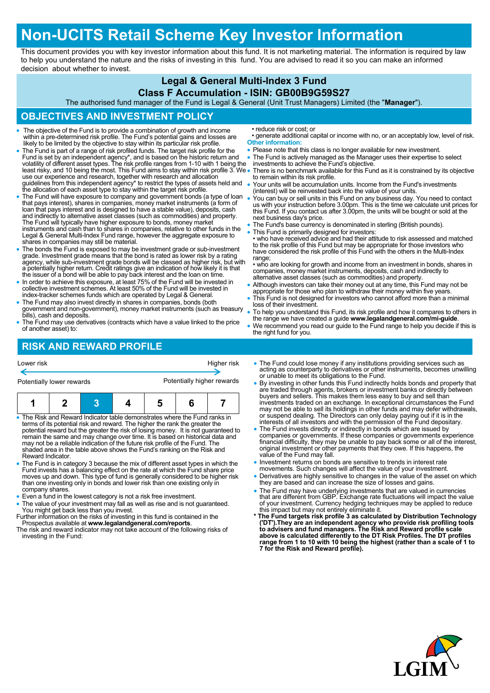# **Non-UCITS Retail Scheme Key Investor Information**

This document provides you with key investor information about this fund. It is not marketing material. The information is required by law to help you understand the nature and the risks of investing in this fund. You are advised to read it so you can make an informed decision about whether to invest.

### **Legal & General Multi-Index 3 Fund**

#### **Class F Accumulation - ISIN: GB00B9G59S27**

The authorised fund manager of the Fund is Legal & General (Unit Trust Managers) Limited (the "**Manager**").

# **OBJECTIVES AND INVESTMENT POLICY**

- The objective of the Fund is to provide a combination of growth and income within a pre-determined risk profile. The Fund's potential gains and losses are likely to be limited by the objective to stay within its particular risk profile.
- The Fund is part of a range of risk profiled funds. The target risk profile for the Fund is set by an independent agency\*, and is based on the historic return and<br>volatility of different asset types. The risk profile ranges from 1-10 with 1 being the<br>least risky, and 10 being the most. This Fund aims to s use our experience and research, together with research and allocation guidelines from this independent agency\* to restrict the types of assets held and the allocation of each asset type to stay within the target risk profile.
- The Fund will have exposure to company and government bonds (a type of loan that pays interest), shares in companies, money market instruments (a form of loan that pays interest and is designed to have a stable value), deposits, cash and indirectly to alternative asset classes (such as commodities) and property.<br>The Fund will typically have higher exposure to bonds, money market<br>instruments and cash than to shares in companies, relative to other funds Legal & General Multi-Index Fund range, however the aggregate exposure to shares in companies may still be material.
- The bonds the Fund is exposed to may be investment grade or sub-investment grade. Investment grade means that the bond is rated as lower risk by a rating agency, while sub-investment grade bonds will be classed as higher risk, but with a potentially higher return. Credit ratings give an indication of how likely it is that the issuer of a bond will be able to pay back interest and the loan on time.
- In order to achieve this exposure, at least 75% of the Fund will be invested in collective investment schemes. At least 50% of the Fund will be invested in index-tracker schemes funds which are operated by Legal & General.
- The Fund may also invest directly in shares in companies, bonds (both government and non-government), money market instruments (such as treasury bills), cash and deposits.
- The Fund may use derivatives (contracts which have a value linked to the price of another asset) to:

• reduce risk or cost; or

- generate additional capital or income with no, or an acceptably low, level of risk. **Other information:**
- Please note that this class is no longer available for new investment.
- The Fund is actively managed as the Manager uses their expertise to select
- investments to achieve the Fund's objective. There is no benchmark available for this Fund as it is constrained by its objective
- to remain within its risk profile. Your units will be accumulation units. Income from the Fund's investments
- (interest) will be reinvested back into the value of your units. You can buy or sell units in this Fund on any business day. You need to contact us with your instruction before 3.00pm. This is the time we calculate unit prices for this Fund. If you contact us after 3.00pm, the units will be bought or sold at the next business day's price.
- The Fund's base currency is denominated in sterling (British pounds).
- This Fund is primarily designed for investors:

• who have received advice and had their attitude to risk assessed and matched<br>to the risk profile of this Fund but may be appropriate for those investors who<br>have considered the risk profile of this Fund with the others i range;

- who are looking for growth and income from an investment in bonds, shares in companies, money market instruments, deposits, cash and indirectly to alternative asset classes (such as commodities) and property.
- Although investors can take their money out at any time, this Fund may not be appropriate for those who plan to withdraw their money within five years.
- This Fund is not designed for investors who cannot afford more than a minimal loss of their investment.
- To help you understand this Fund, its risk profile and how it compares to others in the range we have created a guide **www.legalandgeneral.com/mi-guide**.
- We recommend you read our guide to the Fund range to help you decide if this is the right fund for you.

# **RISK AND REWARD PROFILE**

| Higher risk<br>Lower risk<br>Potentially higher rewards<br>Potentially lower rewards                                                                                                                                                                                                                                                                                                                                                                                                                            |  |  |  |  |  | • The Fund could lose money if any institutions providing services such as<br>acting as counterparty to derivatives or other instruments, becomes unw<br>or unable to meet its obligations to the Fund.<br>• By investing in other funds this Fund indirectly holds bonds and property<br>are traded through agents, brokers or investment banks or directly betwe                                                                                                                                     |                                                                                                                                                                                                                           |
|-----------------------------------------------------------------------------------------------------------------------------------------------------------------------------------------------------------------------------------------------------------------------------------------------------------------------------------------------------------------------------------------------------------------------------------------------------------------------------------------------------------------|--|--|--|--|--|--------------------------------------------------------------------------------------------------------------------------------------------------------------------------------------------------------------------------------------------------------------------------------------------------------------------------------------------------------------------------------------------------------------------------------------------------------------------------------------------------------|---------------------------------------------------------------------------------------------------------------------------------------------------------------------------------------------------------------------------|
|                                                                                                                                                                                                                                                                                                                                                                                                                                                                                                                 |  |  |  |  |  |                                                                                                                                                                                                                                                                                                                                                                                                                                                                                                        | buyers and sellers. This makes them less easy to buy and sell than<br>investments traded on an exchange. In exceptional circumstances the F<br>may not be able to sell its holdings in other funds and may defer withdray |
| • The Risk and Reward Indicator table demonstrates where the Fund ranks in<br>terms of its potential risk and reward. The higher the rank the greater the<br>potential reward but the greater the risk of losing money. It is not quaranteed to<br>remain the same and may change over time. It is based on historical data and<br>may not be a reliable indication of the future risk profile of the Fund. The<br>shaded area in the table above shows the Fund's ranking on the Risk and<br>Reward Indicator. |  |  |  |  |  | or suspend dealing. The Directors can only delay paying out if it is in the<br>interests of all investors and with the permission of the Fund depositary.<br>• The Fund invests directly or indirectly in bonds which are issued by<br>companies or governments. If these companies or governments experie<br>financial difficulty, they may be unable to pay back some or all of the inte<br>original investment or other payments that they owe. If this happens, the<br>value of the Fund may fall. |                                                                                                                                                                                                                           |

- The Fund is in category 3 because the mix of different asset types in which the Fund invests has a balancing effect on the rate at which the Fund share price moves up and down. This type of fund is generally considered to be higher risk than one investing only in bonds and lower risk than one existing only in company shares.
- Even a fund in the lowest category is not a risk free investment.
- The value of your investment may fall as well as rise and is not guaranteed.
- You might get back less than you invest. Further information on the risks of investing in this fund is contained in the
- Prospectus available at **www.legalandgeneral.com/reports**. The risk and reward indicator may not take account of the following risks of investing in the Fund:
- istruments, becomes unwilling holds bonds and property that
- ent banks or directly between to buy and sell than onal circumstances the Fund mature to sell its holding in the above and may defer withdrawals, or suspend dealing. The Directors can only delay paying out if it is in the interests of all investors and with the permission of the Fund depositary.
- which are issued by companies or governments. If these companies or governments experience financial difficulty, they may be unable to pay back some or all of the interest, owe. If this happens, the value of the Fund may fall.
- Investment returns on bonds are sensitive to trends in interest rate
- movements. Such changes will affect the value of your investment.
- Derivatives are highly sensitive to changes in the value of the asset on which they are based and can increase the size of losses and gains.
- The Fund may have underlying investments that are valued in currencies that are different from GBP. Exchange rate fluctuations will impact the value of your investment. Currency hedging techniques may be applied to reduce this impact but may not entirely eliminate it.
- **\* The Fund targets risk profile 3 as calculated by Distribution Technology ('DT').They are an independent agency who provide risk profiling tools to advisers and fund managers. The Risk and Reward profile scale above is calculated differently to the DT Risk Profiles. The DT profiles range from 1 to 10 with 10 being the highest (rather than a scale of 1 to 7 for the Risk and Reward profile).**